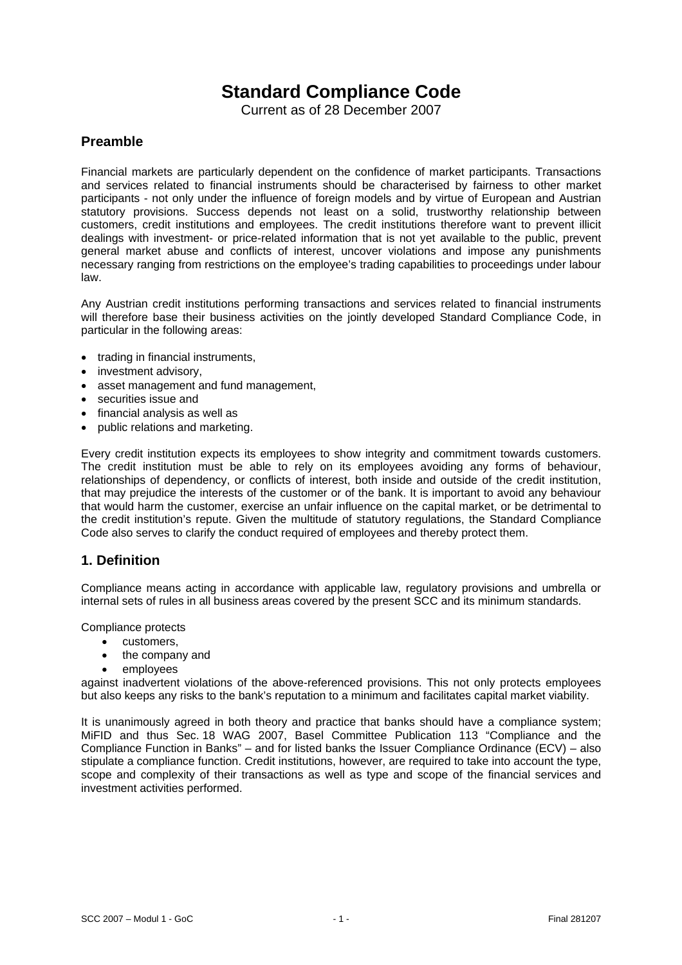# **Standard Compliance Code**

Current as of 28 December 2007

## **Preamble**

Financial markets are particularly dependent on the confidence of market participants. Transactions and services related to financial instruments should be characterised by fairness to other market participants - not only under the influence of foreign models and by virtue of European and Austrian statutory provisions. Success depends not least on a solid, trustworthy relationship between customers, credit institutions and employees. The credit institutions therefore want to prevent illicit dealings with investment- or price-related information that is not yet available to the public, prevent general market abuse and conflicts of interest, uncover violations and impose any punishments necessary ranging from restrictions on the employee's trading capabilities to proceedings under labour law.

Any Austrian credit institutions performing transactions and services related to financial instruments will therefore base their business activities on the jointly developed Standard Compliance Code, in particular in the following areas:

- trading in financial instruments,
- investment advisory.
- asset management and fund management,
- securities issue and
- financial analysis as well as
- public relations and marketing.

Every credit institution expects its employees to show integrity and commitment towards customers. The credit institution must be able to rely on its employees avoiding any forms of behaviour, relationships of dependency, or conflicts of interest, both inside and outside of the credit institution, that may prejudice the interests of the customer or of the bank. It is important to avoid any behaviour that would harm the customer, exercise an unfair influence on the capital market, or be detrimental to the credit institution's repute. Given the multitude of statutory regulations, the Standard Compliance Code also serves to clarify the conduct required of employees and thereby protect them.

# **1. Definition**

Compliance means acting in accordance with applicable law, regulatory provisions and umbrella or internal sets of rules in all business areas covered by the present SCC and its minimum standards.

Compliance protects

- customers,
- the company and
- employees

against inadvertent violations of the above-referenced provisions. This not only protects employees but also keeps any risks to the bank's reputation to a minimum and facilitates capital market viability.

It is unanimously agreed in both theory and practice that banks should have a compliance system; MiFID and thus Sec. 18 WAG 2007, Basel Committee Publication 113 "Compliance and the Compliance Function in Banks" – and for listed banks the Issuer Compliance Ordinance (ECV) – also stipulate a compliance function. Credit institutions, however, are required to take into account the type, scope and complexity of their transactions as well as type and scope of the financial services and investment activities performed.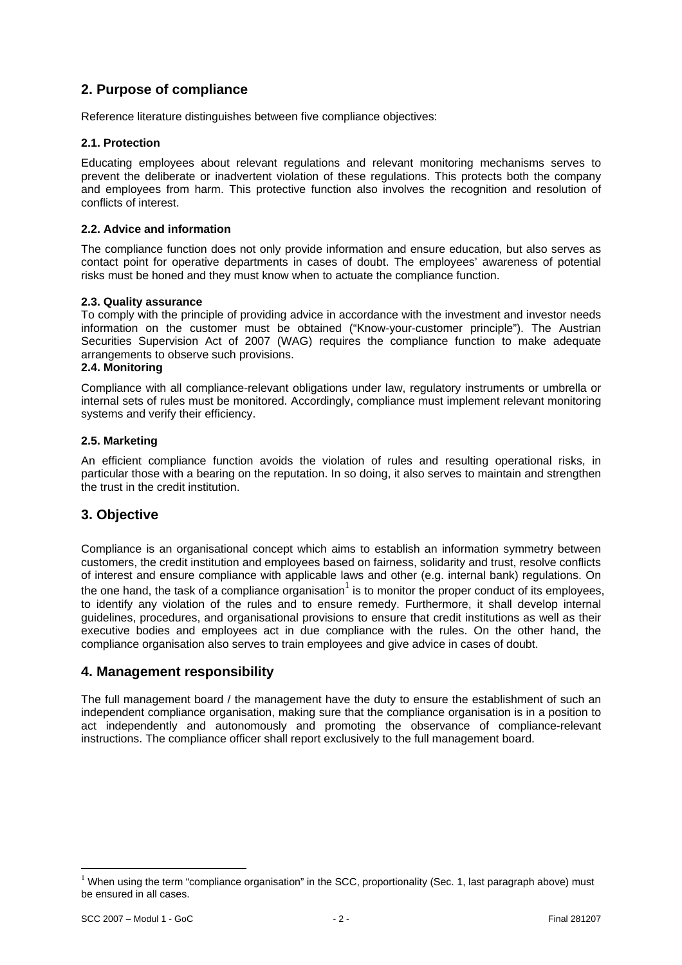# **2. Purpose of compliance**

Reference literature distinguishes between five compliance objectives:

## **2.1. Protection**

Educating employees about relevant regulations and relevant monitoring mechanisms serves to prevent the deliberate or inadvertent violation of these regulations. This protects both the company and employees from harm. This protective function also involves the recognition and resolution of conflicts of interest.

## **2.2. Advice and information**

The compliance function does not only provide information and ensure education, but also serves as contact point for operative departments in cases of doubt. The employees' awareness of potential risks must be honed and they must know when to actuate the compliance function.

## **2.3. Quality assurance**

To comply with the principle of providing advice in accordance with the investment and investor needs information on the customer must be obtained ("Know-your-customer principle"). The Austrian Securities Supervision Act of 2007 (WAG) requires the compliance function to make adequate arrangements to observe such provisions.

#### **2.4. Monitoring**

Compliance with all compliance-relevant obligations under law, regulatory instruments or umbrella or internal sets of rules must be monitored. Accordingly, compliance must implement relevant monitoring systems and verify their efficiency.

#### **2.5. Marketing**

An efficient compliance function avoids the violation of rules and resulting operational risks, in particular those with a bearing on the reputation. In so doing, it also serves to maintain and strengthen the trust in the credit institution.

# **3. Objective**

Compliance is an organisational concept which aims to establish an information symmetry between customers, the credit institution and employees based on fairness, solidarity and trust, resolve conflicts of interest and ensure compliance with applicable laws and other (e.g. internal bank) regulations. On the one hand, the task of a compliance organisation<sup>1</sup> is to monitor the proper conduct of its employees, to identify any violation of the rules and to ensure remedy. Furthermore, it shall develop internal guidelines, procedures, and organisational provisions to ensure that credit institutions as well as their executive bodies and employees act in due compliance with the rules. On the other hand, the compliance organisation also serves to train employees and give advice in cases of doubt.

## **4. Management responsibility**

The full management board / the management have the duty to ensure the establishment of such an independent compliance organisation, making sure that the compliance organisation is in a position to act independently and autonomously and promoting the observance of compliance-relevant instructions. The compliance officer shall report exclusively to the full management board.

<u>.</u>

 $1$  When using the term "compliance organisation" in the SCC, proportionality (Sec. 1, last paragraph above) must be ensured in all cases.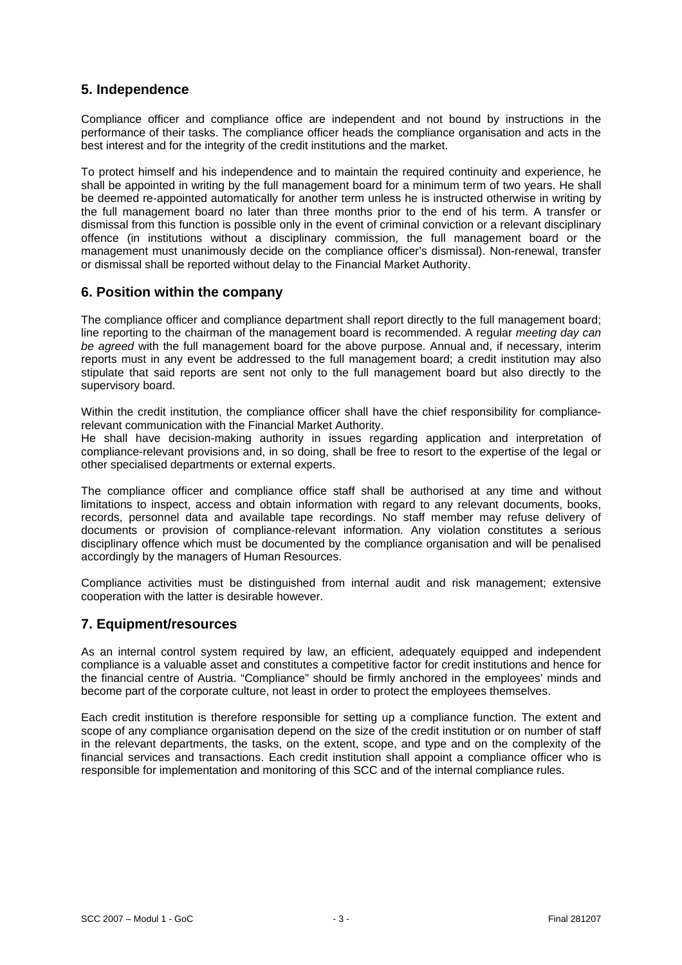# **5. Independence**

Compliance officer and compliance office are independent and not bound by instructions in the performance of their tasks. The compliance officer heads the compliance organisation and acts in the best interest and for the integrity of the credit institutions and the market.

To protect himself and his independence and to maintain the required continuity and experience, he shall be appointed in writing by the full management board for a minimum term of two years. He shall be deemed re-appointed automatically for another term unless he is instructed otherwise in writing by the full management board no later than three months prior to the end of his term. A transfer or dismissal from this function is possible only in the event of criminal conviction or a relevant disciplinary offence (in institutions without a disciplinary commission, the full management board or the management must unanimously decide on the compliance officer's dismissal). Non-renewal, transfer or dismissal shall be reported without delay to the Financial Market Authority.

## **6. Position within the company**

The compliance officer and compliance department shall report directly to the full management board; line reporting to the chairman of the management board is recommended. A regular *meeting day can be agreed* with the full management board for the above purpose. Annual and, if necessary, interim reports must in any event be addressed to the full management board; a credit institution may also stipulate that said reports are sent not only to the full management board but also directly to the supervisory board.

Within the credit institution, the compliance officer shall have the chief responsibility for compliancerelevant communication with the Financial Market Authority.

He shall have decision-making authority in issues regarding application and interpretation of compliance-relevant provisions and, in so doing, shall be free to resort to the expertise of the legal or other specialised departments or external experts.

The compliance officer and compliance office staff shall be authorised at any time and without limitations to inspect, access and obtain information with regard to any relevant documents, books, records, personnel data and available tape recordings. No staff member may refuse delivery of documents or provision of compliance-relevant information. Any violation constitutes a serious disciplinary offence which must be documented by the compliance organisation and will be penalised accordingly by the managers of Human Resources.

Compliance activities must be distinguished from internal audit and risk management; extensive cooperation with the latter is desirable however.

# **7. Equipment/resources**

As an internal control system required by law, an efficient, adequately equipped and independent compliance is a valuable asset and constitutes a competitive factor for credit institutions and hence for the financial centre of Austria. "Compliance" should be firmly anchored in the employees' minds and become part of the corporate culture, not least in order to protect the employees themselves.

Each credit institution is therefore responsible for setting up a compliance function. The extent and scope of any compliance organisation depend on the size of the credit institution or on number of staff in the relevant departments, the tasks, on the extent, scope, and type and on the complexity of the financial services and transactions. Each credit institution shall appoint a compliance officer who is responsible for implementation and monitoring of this SCC and of the internal compliance rules.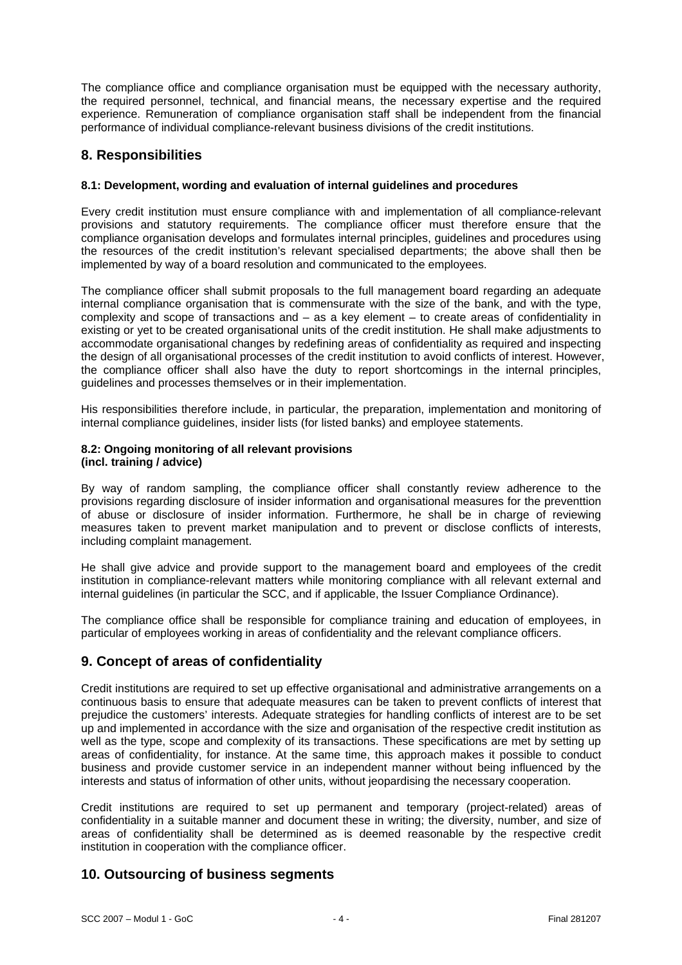The compliance office and compliance organisation must be equipped with the necessary authority, the required personnel, technical, and financial means, the necessary expertise and the required experience. Remuneration of compliance organisation staff shall be independent from the financial performance of individual compliance-relevant business divisions of the credit institutions.

## **8. Responsibilities**

## **8.1: Development, wording and evaluation of internal guidelines and procedures**

Every credit institution must ensure compliance with and implementation of all compliance-relevant provisions and statutory requirements. The compliance officer must therefore ensure that the compliance organisation develops and formulates internal principles, guidelines and procedures using the resources of the credit institution's relevant specialised departments; the above shall then be implemented by way of a board resolution and communicated to the employees.

The compliance officer shall submit proposals to the full management board regarding an adequate internal compliance organisation that is commensurate with the size of the bank, and with the type, complexity and scope of transactions and – as a key element – to create areas of confidentiality in existing or yet to be created organisational units of the credit institution. He shall make adjustments to accommodate organisational changes by redefining areas of confidentiality as required and inspecting the design of all organisational processes of the credit institution to avoid conflicts of interest. However, the compliance officer shall also have the duty to report shortcomings in the internal principles, guidelines and processes themselves or in their implementation.

His responsibilities therefore include, in particular, the preparation, implementation and monitoring of internal compliance guidelines, insider lists (for listed banks) and employee statements.

#### **8.2: Ongoing monitoring of all relevant provisions (incl. training / advice)**

By way of random sampling, the compliance officer shall constantly review adherence to the provisions regarding disclosure of insider information and organisational measures for the preventtion of abuse or disclosure of insider information. Furthermore, he shall be in charge of reviewing measures taken to prevent market manipulation and to prevent or disclose conflicts of interests, including complaint management.

He shall give advice and provide support to the management board and employees of the credit institution in compliance-relevant matters while monitoring compliance with all relevant external and internal guidelines (in particular the SCC, and if applicable, the Issuer Compliance Ordinance).

The compliance office shall be responsible for compliance training and education of employees, in particular of employees working in areas of confidentiality and the relevant compliance officers.

## **9. Concept of areas of confidentiality**

Credit institutions are required to set up effective organisational and administrative arrangements on a continuous basis to ensure that adequate measures can be taken to prevent conflicts of interest that prejudice the customers' interests. Adequate strategies for handling conflicts of interest are to be set up and implemented in accordance with the size and organisation of the respective credit institution as well as the type, scope and complexity of its transactions. These specifications are met by setting up areas of confidentiality, for instance. At the same time, this approach makes it possible to conduct business and provide customer service in an independent manner without being influenced by the interests and status of information of other units, without jeopardising the necessary cooperation.

Credit institutions are required to set up permanent and temporary (project-related) areas of confidentiality in a suitable manner and document these in writing; the diversity, number, and size of areas of confidentiality shall be determined as is deemed reasonable by the respective credit institution in cooperation with the compliance officer.

# **10. Outsourcing of business segments**